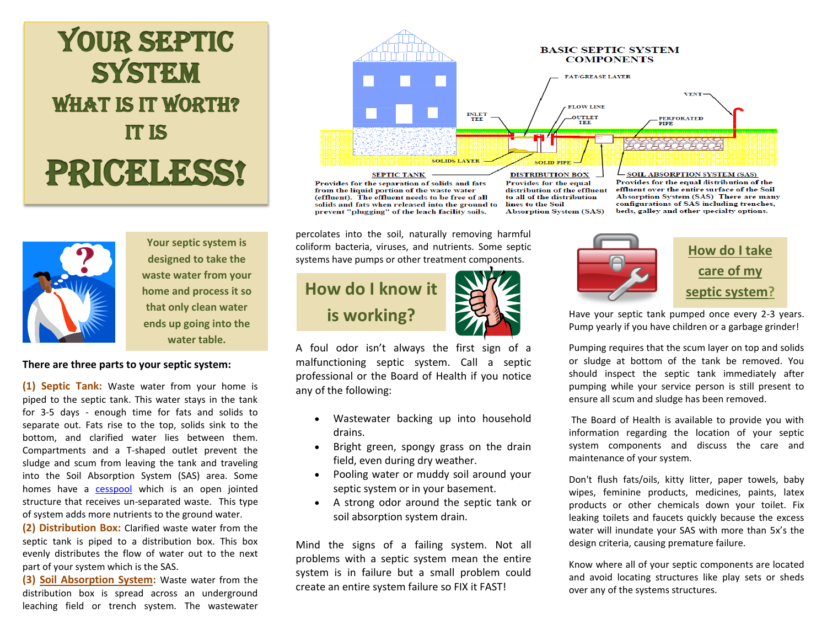# YOUR SEPTIC **SYSTEM** WHAT IS IT WORTH? It is PRICERSS!



I

**Your septic system is designed to take the waste water from your home and process it so that only clean water ends up going into the water table.**

## **There are three parts to your septic system:**

(1) Septic Tank: Waste water from your home is piped to the septic tank. This water stays in the tank for 3-5 days - enough time for fats and solids to separate out. Fats rise to the top, solids sink to the bottom, and clarified water lies between them. Compartments and a T-shaped outlet prevent the sludge and scum from leaving the tank and traveling into the Soil Absorption System (SAS) area. Some homes have a [cesspool](http://www.mass.gov/eea/agencies/massdep/water/wastewater/title-5-general-information-frequently-asked-questions.html#Whatisthedifferencebetweenacesspoolandasepticsystem) which is an open jointed structure that receives un-separated waste. This type of system adds more nutrients to the ground water.

**(2) Distribution Box:** Clarified waste water from the septic tank is piped to a distribution box. This box evenly distributes the flow of water out to the next part of your system which is the SAS.

**(3) Soil [Absorption System:](http://www.mass.gov/eea/agencies/massdep/water/wastewater/septic-system-maintenance-frequently-asked-questions.html#Howdoesaconventionalsepticsystemwork)** Waste water from the distribution box is spread across an underground leaching field or trench system. The wastewater



percolates into the soil, naturally removing harmful coliform bacteria, viruses, and nutrients. Some septic systems have pumps or other treatment components.



A foul odor isn't always the first sign of a malfunctioning septic system. Call a septic professional or the Board of Health if you notice any of the following:

- Wastewater backing up into household drains.
- Bright green, spongy grass on the drain field, even during dry weather.
- Pooling water or muddy soil around your septic system or in your basement.
- A strong odor around the septic tank or soil absorption system drain.

Mind the signs of a failing system. Not all problems with a septic system mean the entire system is in failure but a small problem could create an entire system failure so FIX it FAST!



**[How do I take](http://www.mass.gov/eea/agencies/massdep/water/wastewater/save-money-by-maintaining-your-septic-system.html)  [care of my](http://www.mass.gov/eea/agencies/massdep/water/wastewater/save-money-by-maintaining-your-septic-system.html)  [septic system?](http://www.mass.gov/eea/agencies/massdep/water/wastewater/save-money-by-maintaining-your-septic-system.html)**

Have your septic tank pumped once every 2-3 years. Pump yearly if you have children or a garbage grinder!

Pumping requires that the scum layer on top and solids or sludge at bottom of the tank be removed. You should inspect the septic tank immediately after pumping while your service person is still present to ensure all scum and sludge has been removed.

The Board of Health is available to provide you with information regarding the location of your septic system components and discuss the care and maintenance of your system.

Don't flush fats/oils, kitty litter, paper towels, baby wipes, feminine products, medicines, paints, latex products or other chemicals down your toilet. Fix leaking toilets and faucets quickly because the excess water will inundate your SAS with more than 5x's the design criteria, causing premature failure.

Know where all of your septic components are located and avoid locating structures like play sets or sheds over any of the systems structures.